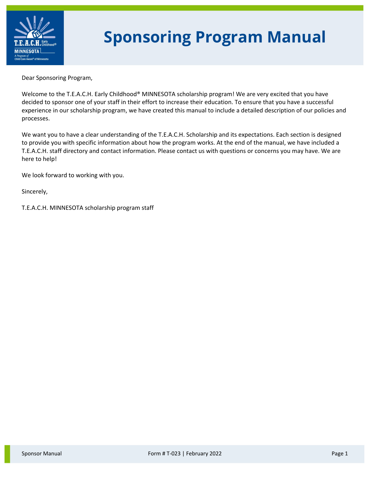

# **Sponsoring Program Manual**

Dear Sponsoring Program,

Welcome to the T.E.A.C.H. Early Childhood® MINNESOTA scholarship program! We are very excited that you have decided to sponsor one of your staff in their effort to increase their education. To ensure that you have a successful experience in our scholarship program, we have created this manual to include a detailed description of our policies and processes.

We want you to have a clear understanding of the T.E.A.C.H. Scholarship and its expectations. Each section is designed to provide you with specific information about how the program works. At the end of the manual, we have included a T.E.A.C.H. staff directory and contact information. Please contact us with questions or concerns you may have. We are here to help!

We look forward to working with you.

Sincerely,

T.E.A.C.H. MINNESOTA scholarship program staff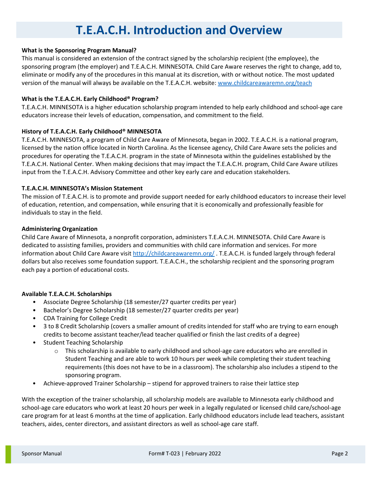### **T.E.A.C.H. Introduction and Overview**

#### **What is the Sponsoring Program Manual?**

This manual is considered an extension of the contract signed by the scholarship recipient (the employee), the sponsoring program (the employer) and T.E.A.C.H. MINNESOTA. Child Care Aware reserves the right to change, add to, eliminate or modify any of the procedures in this manual at its discretion, with or without notice. The most updated version of the manual will always be available on the T.E.A.C.H. website: [www.childcareawaremn.org/teach](http://www.childcareawaremn.org/teach)

#### **What is the T.E.A.C.H. Early Childhood® Program?**

T.E.A.C.H. MINNESOTA is a higher education scholarship program intended to help early childhood and school-age care educators increase their levels of education, compensation, and commitment to the field.

#### **History of T.E.A.C.H. Early Childhood® MINNESOTA**

T.E.A.C.H. MINNESOTA, a program of Child Care Aware of Minnesota, began in 2002. T.E.A.C.H. is a national program, licensed by the nation office located in North Carolina. As the licensee agency, Child Care Aware sets the policies and procedures for operating the T.E.A.C.H. program in the state of Minnesota within the guidelines established by the T.E.A.C.H. National Center. When making decisions that may impact the T.E.A.C.H. program, Child Care Aware utilizes input from the T.E.A.C.H. Advisory Committee and other key early care and education stakeholders.

#### **T.E.A.C.H. MINNESOTA's Mission Statement**

The mission of T.E.A.C.H. is to promote and provide support needed for early childhood educators to increase their level of education, retention, and compensation, while ensuring that it is economically and professionally feasible for individuals to stay in the field.

#### **Administering Organization**

Child Care Aware of Minnesota, a nonprofit corporation, administers T.E.A.C.H. MINNESOTA. Child Care Aware is dedicated to assisting families, providers and communities with child care information and services. For more information about Child Care Aware visit<http://childcareawaremn.org/> . T.E.A.C.H. is funded largely through federal dollars but also receives some foundation support. T.E.A.C.H., the scholarship recipient and the sponsoring program each pay a portion of educational costs.

#### **Available T.E.A.C.H. Scholarships**

- Associate Degree Scholarship (18 semester/27 quarter credits per year)
- Bachelor's Degree Scholarship (18 semester/27 quarter credits per year)
- CDA Training for College Credit
- 3 to 8 Credit Scholarship (covers a smaller amount of credits intended for staff who are trying to earn enough credits to become assistant teacher/lead teacher qualified or finish the last credits of a degree)
- Student Teaching Scholarship
	- $\circ$  This scholarship is available to early childhood and school-age care educators who are enrolled in Student Teaching and are able to work 10 hours per week while completing their student teaching requirements (this does not have to be in a classroom). The scholarship also includes a stipend to the sponsoring program.
- Achieve-approved Trainer Scholarship stipend for approved trainers to raise their lattice step

With the exception of the trainer scholarship, all scholarship models are available to Minnesota early childhood and school-age care educators who work at least 20 hours per week in a legally regulated or licensed child care/school-age care program for at least 6 months at the time of application. Early childhood educators include lead teachers, assistant teachers, aides, center directors, and assistant directors as well as school-age care staff.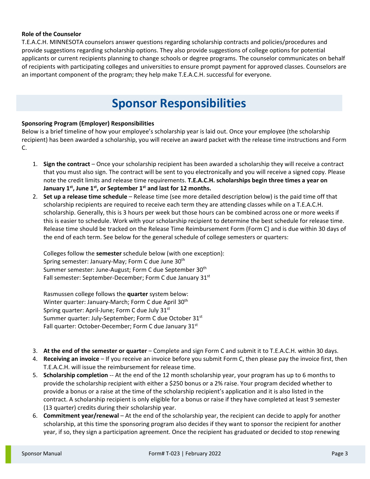#### **Role of the Counselor**

T.E.A.C.H. MINNESOTA counselors answer questions regarding scholarship contracts and policies/procedures and provide suggestions regarding scholarship options. They also provide suggestions of college options for potential applicants or current recipients planning to change schools or degree programs. The counselor communicates on behalf of recipients with participating colleges and universities to ensure prompt payment for approved classes. Counselors are an important component of the program; they help make T.E.A.C.H. successful for everyone.

### **Sponsor Responsibilities**

#### **Sponsoring Program (Employer) Responsibilities**

Below is a brief timeline of how your employee's scholarship year is laid out. Once your employee (the scholarship recipient) has been awarded a scholarship, you will receive an award packet with the release time instructions and Form C.

- 1. **Sign the contract** Once your scholarship recipient has been awarded a scholarship they will receive a contract that you must also sign. The contract will be sent to you electronically and you will receive a signed copy. Please note the credit limits and release time requirements. **T.E.A.C.H. scholarships begin three times a year on January 1st, June 1st, or September 1st and last for 12 months.**
- 2. **Set up a release time schedule** Release time (see more detailed description below) is the paid time off that scholarship recipients are required to receive each term they are attending classes while on a T.E.A.C.H. scholarship. Generally, this is 3 hours per week but those hours can be combined across one or more weeks if this is easier to schedule. Work with your scholarship recipient to determine the best schedule for release time. Release time should be tracked on the Release Time Reimbursement Form (Form C) and is due within 30 days of the end of each term. See below for the general schedule of college semesters or quarters:

Colleges follow the **semester** schedule below (with one exception): Spring semester: January-May; Form C due June 30th Summer semester: June-August; Form C due September 30th Fall semester: September-December; Form C due January 31<sup>st</sup>

Rasmussen college follows the **quarter** system below: Winter quarter: January-March; Form C due April 30<sup>th</sup> Spring quarter: April-June; Form C due July 31<sup>st</sup> Summer quarter: July-September; Form C due October 31st Fall quarter: October-December; Form C due January 31st

- 3. **At the end of the semester or quarter** Complete and sign Form C and submit it to T.E.A.C.H. within 30 days.
- 4. **Receiving an invoice** If you receive an invoice before you submit Form C, then please pay the invoice first, then T.E.A.C.H. will issue the reimbursement for release time.
- 5. **Scholarship completion** -- At the end of the 12 month scholarship year, your program has up to 6 months to provide the scholarship recipient with either a \$250 bonus or a 2% raise. Your program decided whether to provide a bonus or a raise at the time of the scholarship recipient's application and it is also listed in the contract. A scholarship recipient is only eligible for a bonus or raise if they have completed at least 9 semester (13 quarter) credits during their scholarship year.
- 6. **Commitment year/renewal** At the end of the scholarship year, the recipient can decide to apply for another scholarship, at this time the sponsoring program also decides if they want to sponsor the recipient for another year, if so, they sign a participation agreement. Once the recipient has graduated or decided to stop renewing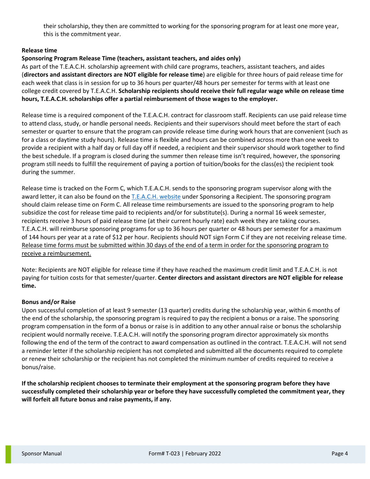their scholarship, they then are committed to working for the sponsoring program for at least one more year, this is the commitment year.

#### **Release time**

#### **Sponsoring Program Release Time (teachers, assistant teachers, and aides only)**

As part of the T.E.A.C.H. scholarship agreement with child care programs, teachers, assistant teachers, and aides (**directors and assistant directors are NOT eligible for release time**) are eligible for three hours of paid release time for each week that class is in session for up to 36 hours per quarter/48 hours per semester for terms with at least one college credit covered by T.E.A.C.H. **Scholarship recipients should receive their full regular wage while on release time hours, T.E.A.C.H. scholarships offer a partial reimbursement of those wages to the employer.**

Release time is a required component of the T.E.A.C.H. contract for classroom staff. Recipients can use paid release time to attend class, study, or handle personal needs. Recipients and their supervisors should meet before the start of each semester or quarter to ensure that the program can provide release time during work hours that are convenient (such as for a class or daytime study hours). Release time is flexible and hours can be combined across more than one week to provide a recipient with a half day or full day off if needed, a recipient and their supervisor should work together to find the best schedule. If a program is closed during the summer then release time isn't required, however, the sponsoring program still needs to fulfill the requirement of paying a portion of tuition/books for the class(es) the recipient took during the summer.

Release time is tracked on the Form C, which T.E.A.C.H. sends to the sponsoring program supervisor along with the award letter, it can also be found on the [T.E.A.C.H. website](https://www.childcareawaremn.org/providers/grants-and-scholarships/teach-scholarships/) under Sponsoring a Recipient. The sponsoring program should claim release time on Form C. All release time reimbursements are issued to the sponsoring program to help subsidize the cost for release time paid to recipients and/or for substitute(s). During a normal 16 week semester, recipients receive 3 hours of paid release time (at their current hourly rate) each week they are taking courses. T.E.A.C.H. will reimburse sponsoring programs for up to 36 hours per quarter or 48 hours per semester for a maximum of 144 hours per year at a rate of \$12 per hour. Recipients should NOT sign Form C if they are not receiving release time. Release time forms must be submitted within 30 days of the end of a term in order for the sponsoring program to receive a reimbursement.

Note: Recipients are NOT eligible for release time if they have reached the maximum credit limit and T.E.A.C.H. is not paying for tuition costs for that semester/quarter. **Center directors and assistant directors are NOT eligible for release time.**

#### **Bonus and/or Raise**

Upon successful completion of at least 9 semester (13 quarter) credits during the scholarship year, within 6 months of the end of the scholarship, the sponsoring program is required to pay the recipient a bonus or a raise. The sponsoring program compensation in the form of a bonus or raise is in addition to any other annual raise or bonus the scholarship recipient would normally receive. T.E.A.C.H. will notify the sponsoring program director approximately six months following the end of the term of the contract to award compensation as outlined in the contract. T.E.A.C.H. will not send a reminder letter if the scholarship recipient has not completed and submitted all the documents required to complete or renew their scholarship or the recipient has not completed the minimum number of credits required to receive a bonus/raise.

**If the scholarship recipient chooses to terminate their employment at the sponsoring program before they have successfully completed their scholarship year or before they have successfully completed the commitment year, they will forfeit all future bonus and raise payments, if any.**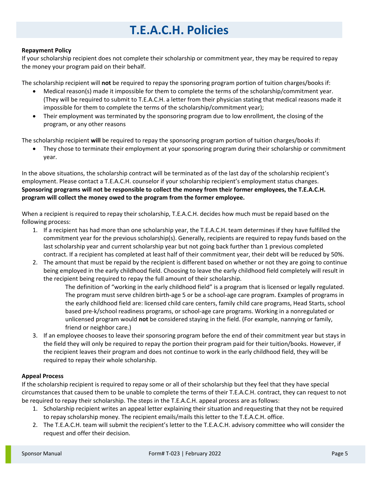## **T.E.A.C.H. Policies**

#### **Repayment Policy**

If your scholarship recipient does not complete their scholarship or commitment year, they may be required to repay the money your program paid on their behalf.

The scholarship recipient will **not** be required to repay the sponsoring program portion of tuition charges/books if:

- Medical reason(s) made it impossible for them to complete the terms of the scholarship/commitment year. (They will be required to submit to T.E.A.C.H. a letter from their physician stating that medical reasons made it impossible for them to complete the terms of the scholarship/commitment year);
- Their employment was terminated by the sponsoring program due to low enrollment, the closing of the program, or any other reasons

The scholarship recipient **will** be required to repay the sponsoring program portion of tuition charges/books if:

• They chose to terminate their employment at your sponsoring program during their scholarship or commitment year.

In the above situations, the scholarship contract will be terminated as of the last day of the scholarship recipient's employment. Please contact a T.E.A.C.H. counselor if your scholarship recipient's employment status changes. **Sponsoring programs will not be responsible to collect the money from their former employees, the T.E.A.C.H. program will collect the money owed to the program from the former employee.**

When a recipient is required to repay their scholarship, T.E.A.C.H. decides how much must be repaid based on the following process:

- 1. If a recipient has had more than one scholarship year, the T.E.A.C.H. team determines if they have fulfilled the commitment year for the previous scholarship(s). Generally, recipients are required to repay funds based on the last scholarship year and current scholarship year but not going back further than 1 previous completed contract. If a recipient has completed at least half of their commitment year, their debt will be reduced by 50%.
- 2. The amount that must be repaid by the recipient is different based on whether or not they are going to continue being employed in the early childhood field. Choosing to leave the early childhood field completely will result in the recipient being required to repay the full amount of their scholarship.

The definition of "working in the early childhood field" is a program that is licensed or legally regulated. The program must serve children birth-age 5 or be a school-age care program. Examples of programs in the early childhood field are: licensed child care centers, family child care programs, Head Starts, school based pre-k/school readiness programs, or school-age care programs. Working in a nonregulated or unlicensed program would **not** be considered staying in the field. (For example, nannying or family, friend or neighbor care.)

3. If an employee chooses to leave their sponsoring program before the end of their commitment year but stays in the field they will only be required to repay the portion their program paid for their tuition/books. However, if the recipient leaves their program and does not continue to work in the early childhood field, they will be required to repay their whole scholarship.

#### **Appeal Process**

If the scholarship recipient is required to repay some or all of their scholarship but they feel that they have special circumstances that caused them to be unable to complete the terms of their T.E.A.C.H. contract, they can request to not be required to repay their scholarship. The steps in the T.E.A.C.H. appeal process are as follows:

- 1. Scholarship recipient writes an appeal letter explaining their situation and requesting that they not be required to repay scholarship money. The recipient emails/mails this letter to the T.E.A.C.H. office.
- 2. The T.E.A.C.H. team will submit the recipient's letter to the T.E.A.C.H. advisory committee who will consider the request and offer their decision.